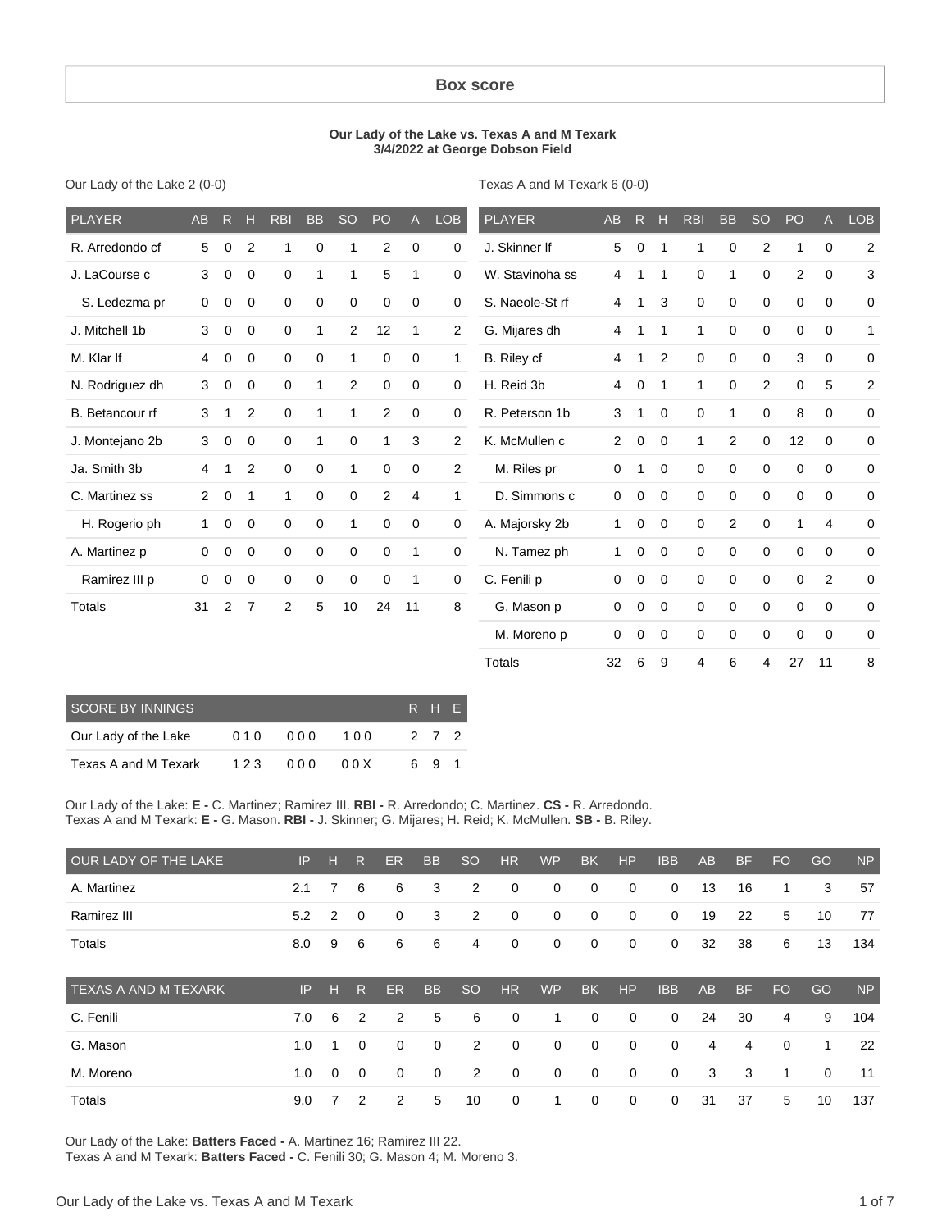#### **Box score**

#### **Our Lady of the Lake vs. Texas A and M Texark 3/4/2022 at George Dobson Field**

Our Lady of the Lake 2 (0-0)

Texas A and M Texark 6 (0-0)

| <b>PLAYER</b>   | AB           | R           | $\mathbf H$    | <b>RBI</b>  | <b>BB</b>   | <b>SO</b>      | PO             | $\mathsf{A}$   | <b>LOB</b>     | <b>PLAYER</b>   | <b>AB</b> | R | H           | <b>RBI</b> | <b>BB</b>      | <b>SO</b>   | <b>PO</b>   | $\mathsf{A}$ | <b>LOB</b>     |
|-----------------|--------------|-------------|----------------|-------------|-------------|----------------|----------------|----------------|----------------|-----------------|-----------|---|-------------|------------|----------------|-------------|-------------|--------------|----------------|
| R. Arredondo cf | 5            | 0           | $\overline{2}$ | 1           | 0           | 1              | 2              | 0              | 0              | J. Skinner If   | 5         | 0 | 1           | 1          | 0              | 2           | 1           | 0            | $\overline{2}$ |
| J. LaCourse c   | 3            | 0           | 0              | 0           | 1           | 1              | 5              | 1              | 0              | W. Stavinoha ss | 4         | 1 | 1           | 0          | 1              | 0           | 2           | $\mathbf 0$  | 3              |
| S. Ledezma pr   | $\mathbf 0$  | 0           | 0              | 0           | 0           | $\mathbf 0$    | 0              | $\mathbf 0$    | 0              | S. Naeole-St rf | 4         | 1 | 3           | 0          | 0              | 0           | 0           | $\mathbf 0$  | 0              |
| J. Mitchell 1b  | 3            | 0           | 0              | 0           | 1           | $\overline{c}$ | 12             | 1              | 2              | G. Mijares dh   | 4         | 1 | 1           | 1          | 0              | 0           | 0           | $\mathbf 0$  | $\mathbf{1}$   |
| M. Klar If      | 4            | 0           | 0              | 0           | $\mathbf 0$ | 1              | $\mathbf 0$    | 0              | $\mathbf{1}$   | B. Riley cf     | 4         | 1 | 2           | 0          | $\mathbf 0$    | $\mathbf 0$ | 3           | $\mathbf 0$  | 0              |
| N. Rodriguez dh | 3            | 0           | 0              | 0           | 1           | $\overline{c}$ | 0              | 0              | 0              | H. Reid 3b      | 4         | 0 | 1           | 1          | 0              | 2           | 0           | 5            | 2              |
| B. Betancour rf | 3            | 1           | $\overline{2}$ | $\mathbf 0$ | 1           | 1              | $\overline{2}$ | 0              | 0              | R. Peterson 1b  | 3         | 1 | 0           | 0          | 1              | 0           | 8           | $\mathbf 0$  | 0              |
| J. Montejano 2b | 3            | $\mathbf 0$ | 0              | $\mathbf 0$ | 1           | $\mathbf 0$    | $\mathbf{1}$   | 3              | $\overline{2}$ | K. McMullen c   | 2         | 0 | $\mathbf 0$ | 1          | $\overline{2}$ | 0           | 12          | $\mathbf 0$  | $\mathbf 0$    |
| Ja. Smith 3b    | 4            | 1           | 2              | 0           | $\mathbf 0$ | 1              | $\mathbf 0$    | 0              | $\overline{2}$ | M. Riles pr     | 0         | 1 | 0           | 0          | 0              | 0           | 0           | 0            | 0              |
| C. Martinez ss  | 2            | $\mathbf 0$ | 1              | 1           | $\mathbf 0$ | $\mathbf 0$    | 2              | $\overline{4}$ | 1              | D. Simmons c    | 0         | 0 | 0           | 0          | $\Omega$       | $\mathbf 0$ | 0           | $\mathbf 0$  | $\mathbf 0$    |
| H. Rogerio ph   | $\mathbf{1}$ | 0           | 0              | 0           | 0           | 1              | 0              | $\mathbf 0$    | 0              | A. Majorsky 2b  | 1         | 0 | 0           | 0          | 2              | 0           | 1           | 4            | 0              |
| A. Martinez p   | $\mathbf 0$  | 0           | 0              | 0           | $\mathbf 0$ | $\mathbf 0$    | $\mathbf 0$    | 1              | 0              | N. Tamez ph     | 1         | 0 | $\mathbf 0$ | 0          | 0              | 0           | $\mathbf 0$ | $\mathbf 0$  | $\mathbf 0$    |
| Ramirez III p   | $\mathbf 0$  | 0           | 0              | 0           | 0           | $\mathbf 0$    | $\mathbf 0$    | 1              | 0              | C. Fenili p     | 0         | 0 | $\mathbf 0$ | 0          | 0              | $\mathbf 0$ | 0           | 2            | $\mathbf 0$    |
| Totals          | 31           | 2           | 7              | 2           | 5           | 10             | 24             | 11             | 8              | G. Mason p      | 0         | 0 | 0           | 0          | 0              | $\mathbf 0$ | 0           | $\mathbf 0$  | 0              |
|                 |              |             |                |             |             |                |                |                |                | M. Moreno p     | 0         | 0 | 0           | 0          | 0              | 0           | 0           | $\mathbf 0$  | 0              |
|                 |              |             |                |             |             |                |                |                |                | <b>Totals</b>   | 32        | 6 | 9           | 4          | 6              | 4           | 27          | 11           | 8              |

| <b>SCORE BY INNINGS</b> | R H F |      |     |       |  |
|-------------------------|-------|------|-----|-------|--|
| Our Lady of the Lake    | 010   | 000  | 100 | 2 7 2 |  |
| Texas A and M Texark    | 123   | 00 Q | 00X | 69    |  |

Our Lady of the Lake: **E -** C. Martinez; Ramirez III. **RBI -** R. Arredondo; C. Martinez. **CS -** R. Arredondo. Texas A and M Texark: **E -** G. Mason. **RBI -** J. Skinner; G. Mijares; H. Reid; K. McMullen. **SB -** B. Riley.

| OUR LADY OF THE LAKE        | IP  | н        | R           | ER             | <b>BB</b>   | <sub>SO</sub> | <b>HR</b>   | <b>WP</b>   | <b>BK</b>   | HP          | <b>IBB</b>  | AB        | <b>BF</b> | FO          | GO       | <b>NP</b> |
|-----------------------------|-----|----------|-------------|----------------|-------------|---------------|-------------|-------------|-------------|-------------|-------------|-----------|-----------|-------------|----------|-----------|
| A. Martinez                 | 2.1 | 7        | 6           | 6              | 3           | 2             | 0           | 0           | 0           | 0           | 0           | 13        | 16        | 1           | 3        | 57        |
| Ramirez III                 | 5.2 | 2        | 0           | 0              | 3           | 2             | 0           | 0           | $\mathbf 0$ | 0           | $\mathbf 0$ | 19        | 22        | 5           | 10       | 77        |
| Totals                      | 8.0 | 9        | 6           | 6              | 6           | 4             | 0           | 0           | 0           | 0           | $\mathbf 0$ | 32        | 38        | 6           | 13       | 134       |
|                             |     |          |             |                |             |               |             |             |             |             |             |           |           |             |          |           |
| <b>TEXAS A AND M TEXARK</b> | IP  | н        | R           | <b>ER</b>      | <b>BB</b>   | <sub>SO</sub> | <b>HR</b>   | <b>WP</b>   | <b>BK</b>   | <b>HP</b>   | <b>IBB</b>  | <b>AB</b> | <b>BF</b> | <b>FO</b>   | GO       | <b>NP</b> |
| C. Fenili                   | 7.0 | 6        | 2           | $\overline{2}$ | 5           | 6             | 0           | 1           | $\mathbf 0$ | $\mathbf 0$ | $\Omega$    | 24        | 30        | 4           | 9        | 104       |
| G. Mason                    | 1.0 | 1        | $\Omega$    | $\Omega$       | $\mathbf 0$ | 2             | $\mathbf 0$ | $\mathbf 0$ | $\mathbf 0$ | $\mathbf 0$ | $\mathbf 0$ | 4         | 4         | $\mathbf 0$ | 1        | 22        |
| M. Moreno                   | 1.0 | $\Omega$ | $\mathbf 0$ | $\mathbf 0$    | 0           | 2             | $\mathbf 0$ | $\mathbf 0$ | $\mathbf 0$ | 0           | $\mathbf 0$ | 3         | 3         | 1           | $\Omega$ | 11        |

Our Lady of the Lake: **Batters Faced -** A. Martinez 16; Ramirez III 22.

Texas A and M Texark: **Batters Faced -** C. Fenili 30; G. Mason 4; M. Moreno 3.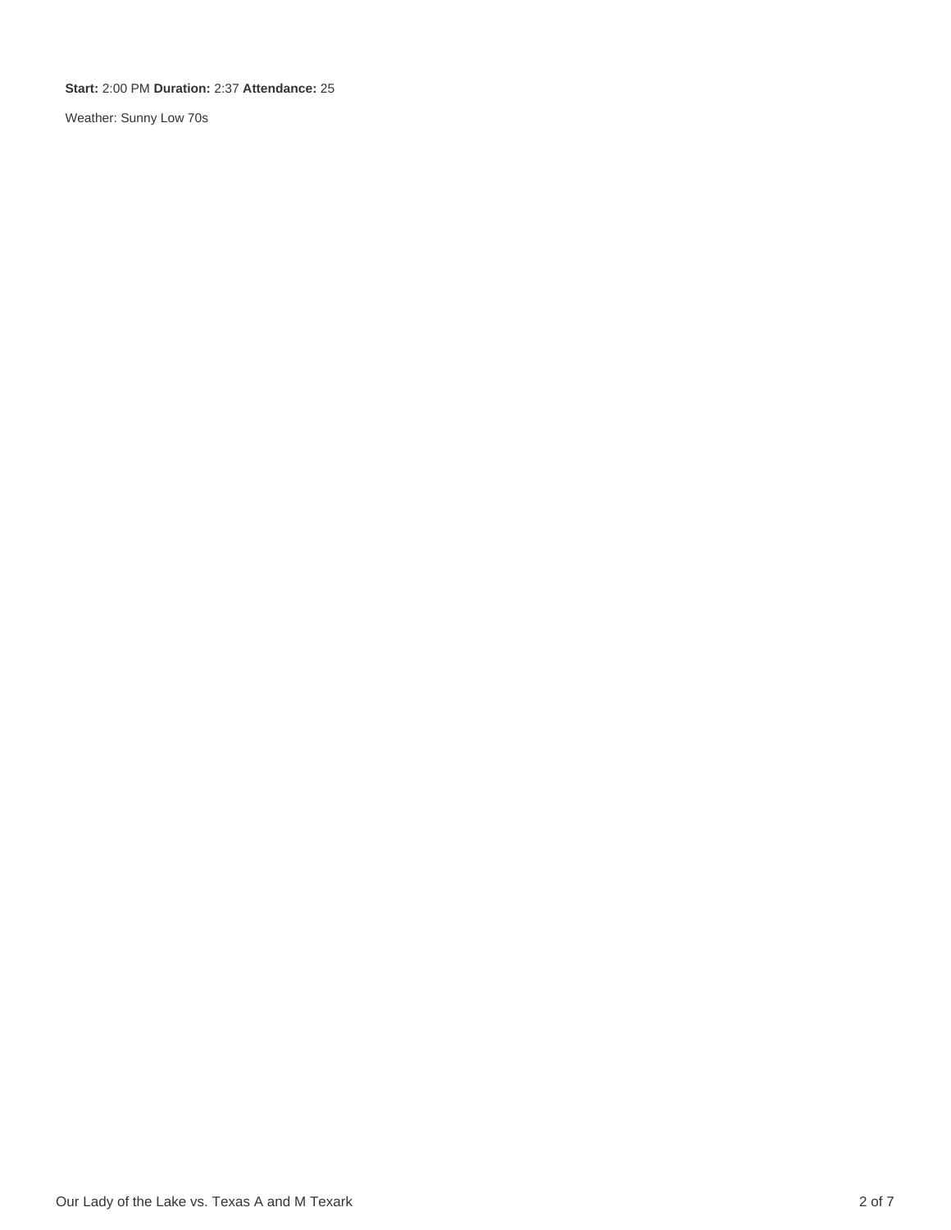**Start:** 2:00 PM **Duration:** 2:37 **Attendance:** 25

Weather: Sunny Low 70s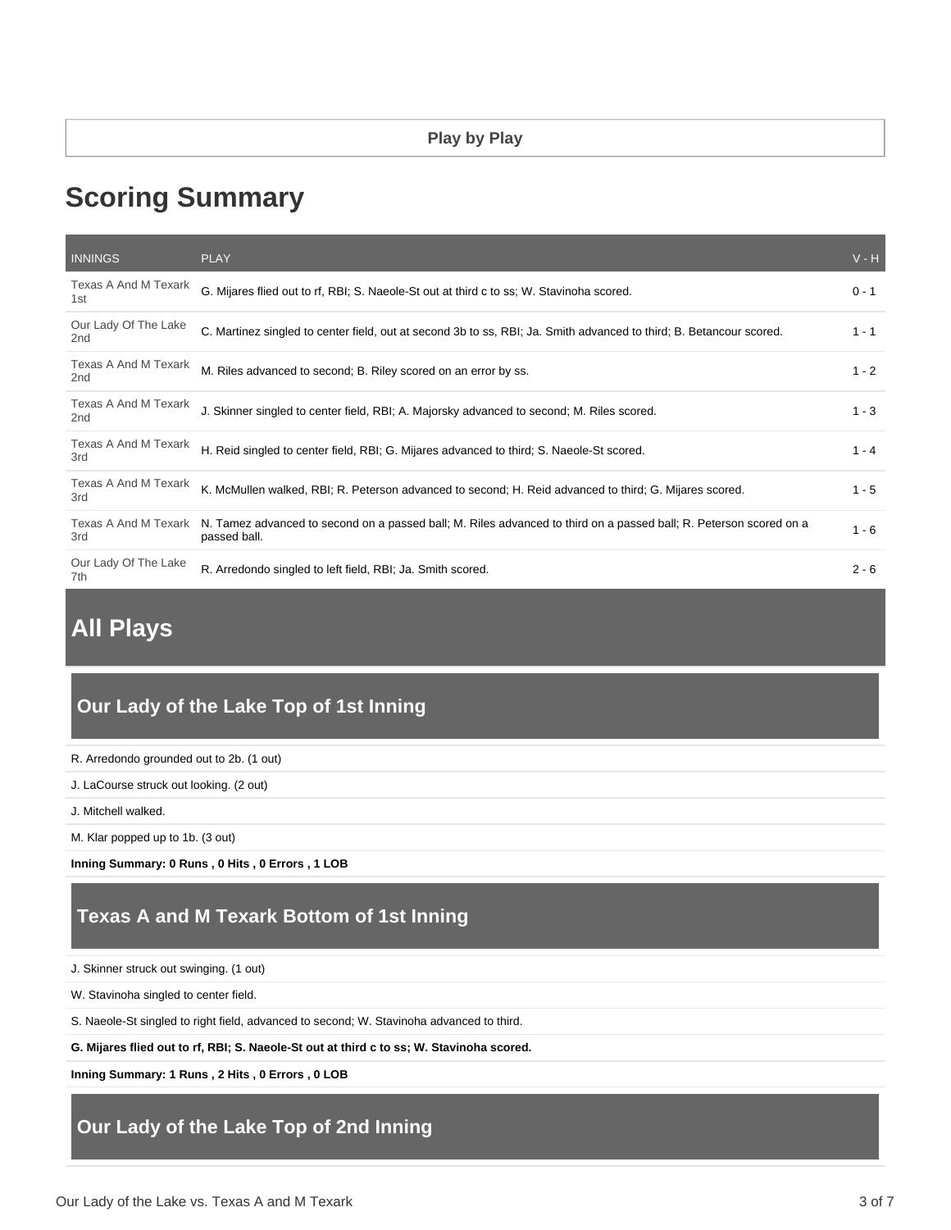# **Scoring Summary**

| <b>INNINGS</b>              | <b>PLAY</b>                                                                                                                        | $V - H$ |
|-----------------------------|------------------------------------------------------------------------------------------------------------------------------------|---------|
| Texas A And M Texark<br>1st | G. Mijares flied out to rf, RBI; S. Naeole-St out at third c to ss; W. Stavinoha scored.                                           | $0 - 1$ |
| Our Lady Of The Lake<br>2nd | C. Martinez singled to center field, out at second 3b to ss, RBI; Ja. Smith advanced to third; B. Betancour scored.                | $1 - 1$ |
| Texas A And M Texark<br>2nd | M. Riles advanced to second; B. Riley scored on an error by ss.                                                                    | $1 - 2$ |
| Texas A And M Texark<br>2nd | J. Skinner singled to center field, RBI; A. Majorsky advanced to second; M. Riles scored.                                          | $1 - 3$ |
| Texas A And M Texark<br>3rd | H. Reid singled to center field, RBI; G. Mijares advanced to third; S. Naeole-St scored.                                           | $1 - 4$ |
| Texas A And M Texark<br>3rd | K. McMullen walked, RBI; R. Peterson advanced to second; H. Reid advanced to third; G. Mijares scored.                             | $1 - 5$ |
| Texas A And M Texark<br>3rd | N. Tamez advanced to second on a passed ball; M. Riles advanced to third on a passed ball; R. Peterson scored on a<br>passed ball. | $1 - 6$ |
| Our Lady Of The Lake<br>7th | R. Arredondo singled to left field, RBI; Ja. Smith scored.                                                                         | $2 - 6$ |

# **All Plays**

# **Our Lady of the Lake Top of 1st Inning**

R. Arredondo grounded out to 2b. (1 out)

J. LaCourse struck out looking. (2 out)

J. Mitchell walked.

M. Klar popped up to 1b. (3 out)

**Inning Summary: 0 Runs , 0 Hits , 0 Errors , 1 LOB**

### **Texas A and M Texark Bottom of 1st Inning**

J. Skinner struck out swinging. (1 out)

W. Stavinoha singled to center field.

S. Naeole-St singled to right field, advanced to second; W. Stavinoha advanced to third.

**G. Mijares flied out to rf, RBI; S. Naeole-St out at third c to ss; W. Stavinoha scored.**

**Inning Summary: 1 Runs , 2 Hits , 0 Errors , 0 LOB**

## **Our Lady of the Lake Top of 2nd Inning**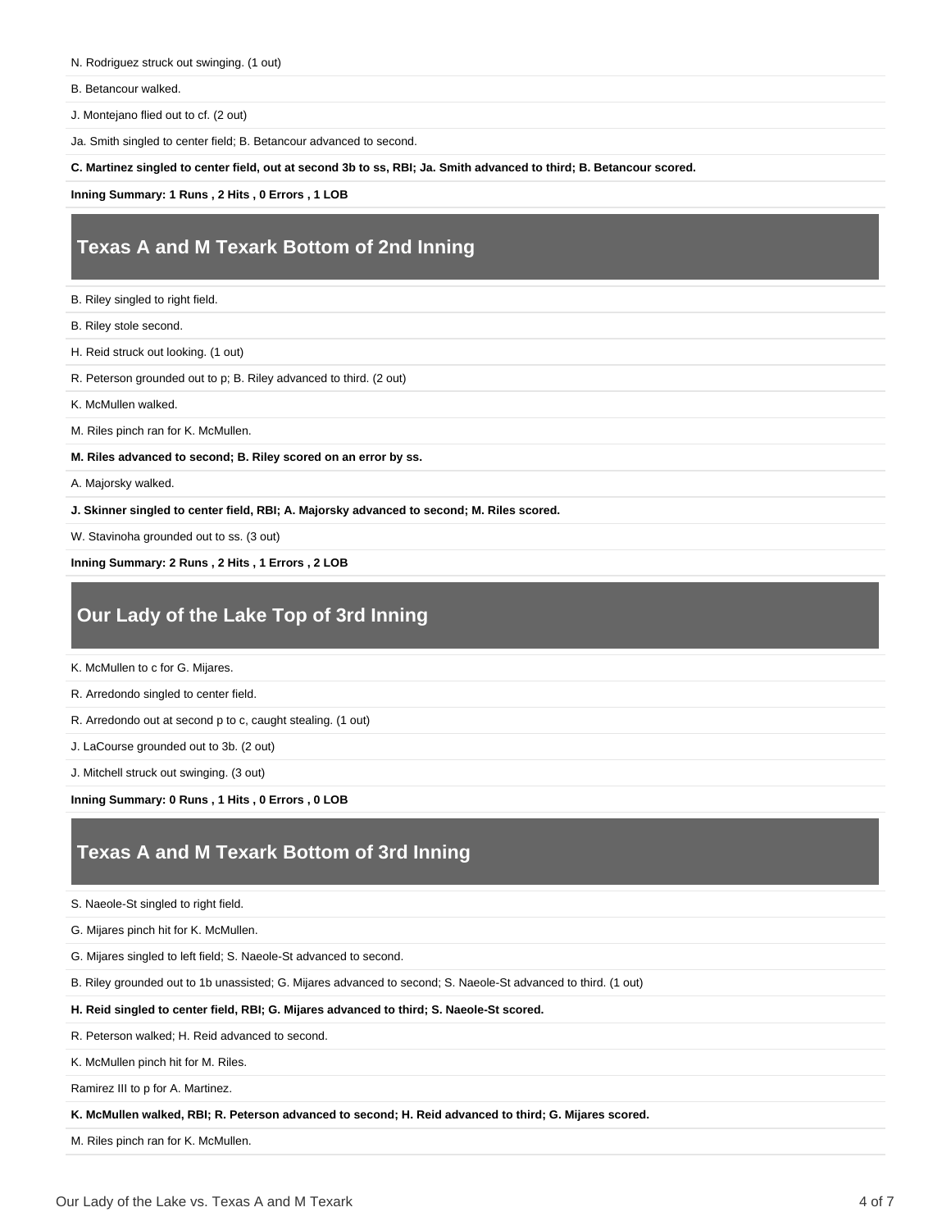- N. Rodriguez struck out swinging. (1 out)
- B. Betancour walked.

J. Montejano flied out to cf. (2 out)

Ja. Smith singled to center field; B. Betancour advanced to second.

**C. Martinez singled to center field, out at second 3b to ss, RBI; Ja. Smith advanced to third; B. Betancour scored.**

**Inning Summary: 1 Runs , 2 Hits , 0 Errors , 1 LOB**

### **Texas A and M Texark Bottom of 2nd Inning**

B. Riley singled to right field.

B. Riley stole second.

H. Reid struck out looking. (1 out)

R. Peterson grounded out to p; B. Riley advanced to third. (2 out)

K. McMullen walked.

M. Riles pinch ran for K. McMullen.

**M. Riles advanced to second; B. Riley scored on an error by ss.**

A. Majorsky walked.

**J. Skinner singled to center field, RBI; A. Majorsky advanced to second; M. Riles scored.**

W. Stavinoha grounded out to ss. (3 out)

**Inning Summary: 2 Runs , 2 Hits , 1 Errors , 2 LOB**

### **Our Lady of the Lake Top of 3rd Inning**

K. McMullen to c for G. Mijares.

R. Arredondo singled to center field.

R. Arredondo out at second p to c, caught stealing. (1 out)

J. LaCourse grounded out to 3b. (2 out)

J. Mitchell struck out swinging. (3 out)

**Inning Summary: 0 Runs , 1 Hits , 0 Errors , 0 LOB**

#### **Texas A and M Texark Bottom of 3rd Inning**

S. Naeole-St singled to right field.

G. Mijares pinch hit for K. McMullen.

G. Mijares singled to left field; S. Naeole-St advanced to second.

B. Riley grounded out to 1b unassisted; G. Mijares advanced to second; S. Naeole-St advanced to third. (1 out)

**H. Reid singled to center field, RBI; G. Mijares advanced to third; S. Naeole-St scored.**

R. Peterson walked; H. Reid advanced to second.

K. McMullen pinch hit for M. Riles.

Ramirez III to p for A. Martinez.

**K. McMullen walked, RBI; R. Peterson advanced to second; H. Reid advanced to third; G. Mijares scored.**

M. Riles pinch ran for K. McMullen.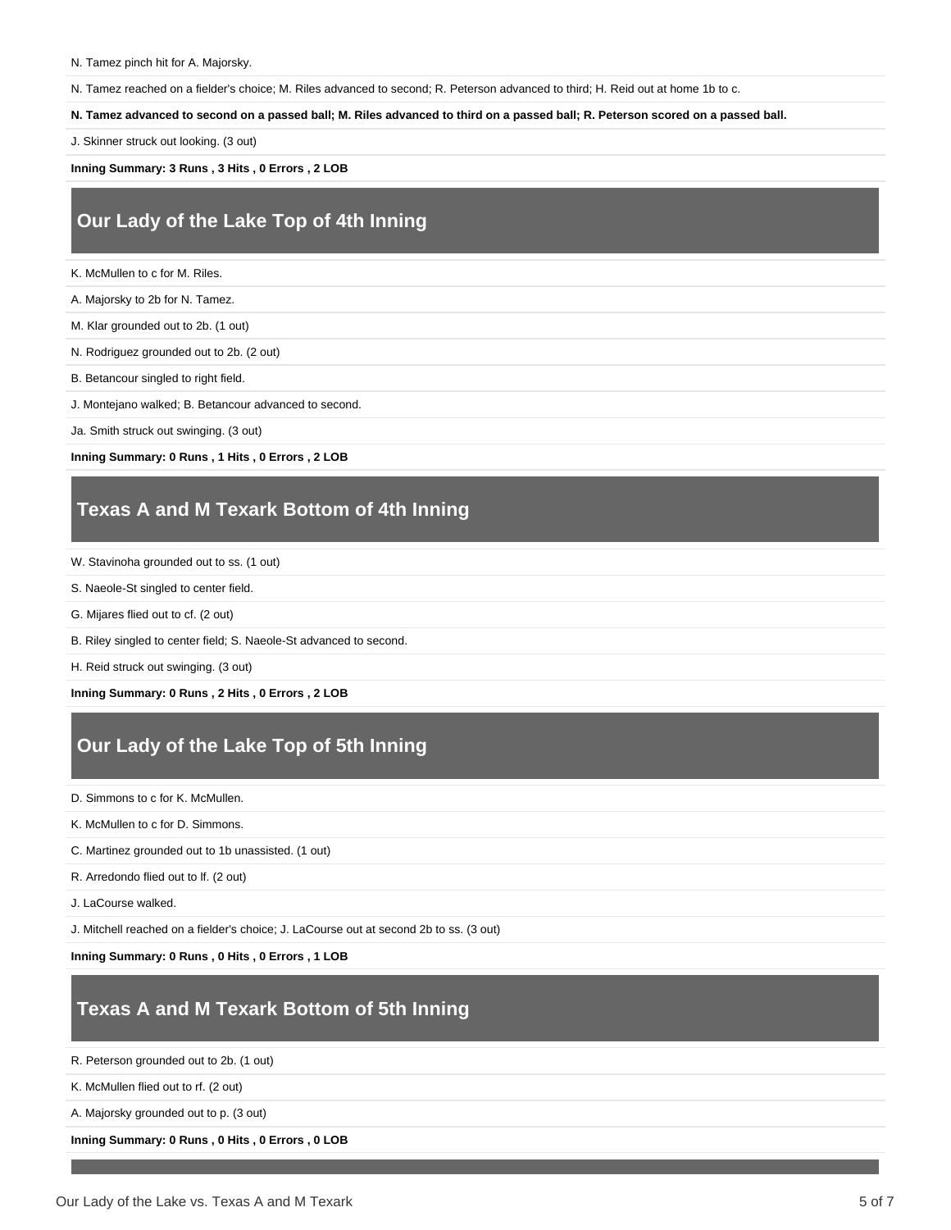N. Tamez pinch hit for A. Majorsky.

N. Tamez reached on a fielder's choice; M. Riles advanced to second; R. Peterson advanced to third; H. Reid out at home 1b to c.

**N. Tamez advanced to second on a passed ball; M. Riles advanced to third on a passed ball; R. Peterson scored on a passed ball.**

J. Skinner struck out looking. (3 out)

**Inning Summary: 3 Runs , 3 Hits , 0 Errors , 2 LOB**

### **Our Lady of the Lake Top of 4th Inning**

K. McMullen to c for M. Riles.

A. Majorsky to 2b for N. Tamez.

M. Klar grounded out to 2b. (1 out)

N. Rodriguez grounded out to 2b. (2 out)

B. Betancour singled to right field.

J. Montejano walked; B. Betancour advanced to second.

Ja. Smith struck out swinging. (3 out)

**Inning Summary: 0 Runs , 1 Hits , 0 Errors , 2 LOB**

### **Texas A and M Texark Bottom of 4th Inning**

W. Stavinoha grounded out to ss. (1 out)

S. Naeole-St singled to center field.

- G. Mijares flied out to cf. (2 out)
- B. Riley singled to center field; S. Naeole-St advanced to second.

H. Reid struck out swinging. (3 out)

**Inning Summary: 0 Runs , 2 Hits , 0 Errors , 2 LOB**

## **Our Lady of the Lake Top of 5th Inning**

D. Simmons to c for K. McMullen.

K. McMullen to c for D. Simmons.

C. Martinez grounded out to 1b unassisted. (1 out)

R. Arredondo flied out to lf. (2 out)

J. LaCourse walked.

J. Mitchell reached on a fielder's choice; J. LaCourse out at second 2b to ss. (3 out)

**Inning Summary: 0 Runs , 0 Hits , 0 Errors , 1 LOB**

#### **Texas A and M Texark Bottom of 5th Inning**

R. Peterson grounded out to 2b. (1 out)

K. McMullen flied out to rf. (2 out)

A. Majorsky grounded out to p. (3 out)

**Inning Summary: 0 Runs , 0 Hits , 0 Errors , 0 LOB**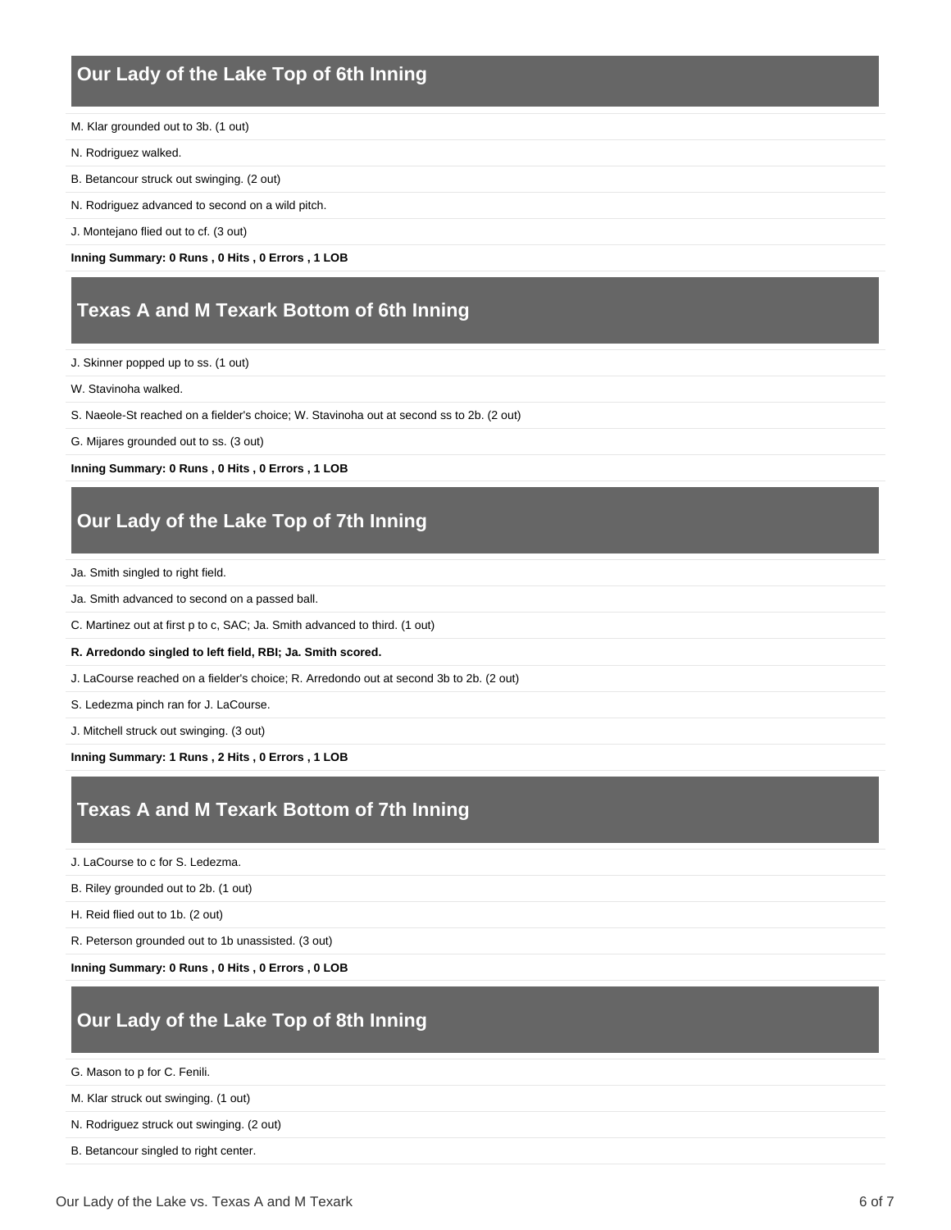## **Our Lady of the Lake Top of 6th Inning**

- M. Klar grounded out to 3b. (1 out)
- N. Rodriguez walked.
- B. Betancour struck out swinging. (2 out)
- N. Rodriguez advanced to second on a wild pitch.
- J. Montejano flied out to cf. (3 out)

**Inning Summary: 0 Runs , 0 Hits , 0 Errors , 1 LOB**

#### **Texas A and M Texark Bottom of 6th Inning**

- J. Skinner popped up to ss. (1 out)
- W. Stavinoha walked.
- S. Naeole-St reached on a fielder's choice; W. Stavinoha out at second ss to 2b. (2 out)
- G. Mijares grounded out to ss. (3 out)

#### **Inning Summary: 0 Runs , 0 Hits , 0 Errors , 1 LOB**

#### **Our Lady of the Lake Top of 7th Inning**

- Ja. Smith singled to right field.
- Ja. Smith advanced to second on a passed ball.
- C. Martinez out at first p to c, SAC; Ja. Smith advanced to third. (1 out)
- **R. Arredondo singled to left field, RBI; Ja. Smith scored.**
- J. LaCourse reached on a fielder's choice; R. Arredondo out at second 3b to 2b. (2 out)
- S. Ledezma pinch ran for J. LaCourse.
- J. Mitchell struck out swinging. (3 out)
- **Inning Summary: 1 Runs , 2 Hits , 0 Errors , 1 LOB**

### **Texas A and M Texark Bottom of 7th Inning**

- J. LaCourse to c for S. Ledezma.
- B. Riley grounded out to 2b. (1 out)
- H. Reid flied out to 1b. (2 out)
- R. Peterson grounded out to 1b unassisted. (3 out)
- **Inning Summary: 0 Runs , 0 Hits , 0 Errors , 0 LOB**

#### **Our Lady of the Lake Top of 8th Inning**

- G. Mason to p for C. Fenili.
- M. Klar struck out swinging. (1 out)
- N. Rodriguez struck out swinging. (2 out)
- B. Betancour singled to right center.